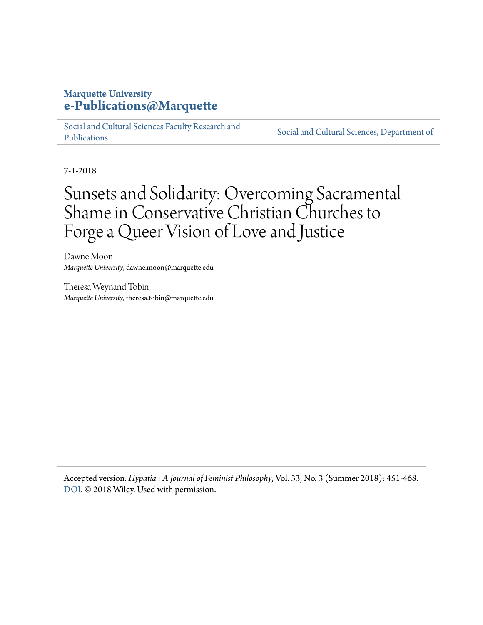#### **Marquette University [e-Publications@Marquette](https://epublications.marquette.edu/)**

[Social and Cultural Sciences Faculty Research and](https://epublications.marquette.edu/socs_fac) [Publications](https://epublications.marquette.edu/socs_fac)

[Social and Cultural Sciences, Department of](https://epublications.marquette.edu/socs)

7-1-2018

## Sunsets and Solidarity: Overcoming Sacramental Shame in Conservative Christian Churches to Forge a Queer Vision of Love and Justice

Dawne Moon *Marquette University*, dawne.moon@marquette.edu

Theresa Weynand Tobin *Marquette University*, theresa.tobin@marquette.edu

Accepted version. *Hypatia : A Journal of Feminist Philosophy*, Vol. 33, No. 3 (Summer 2018): 451-468. [DOI](https://doi.org/10.1111/hypa.12413). © 2018 Wiley. Used with permission.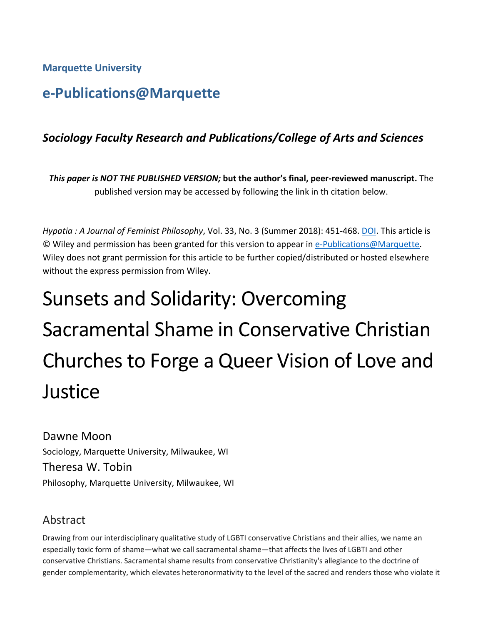**Marquette University**

### **e-Publications@Marquette**

#### *Sociology Faculty Research and Publications/College of Arts and Sciences*

*This paper is NOT THE PUBLISHED VERSION;* **but the author's final, peer-reviewed manuscript.** The published version may be accessed by following the link in th citation below.

*Hypatia : A Journal of Feminist Philosophy*, Vol. 33, No. 3 (Summer 2018): 451-468[. DOI.](https://doi.org/10.1111/hypa.12413) This article is © Wiley and permission has been granted for this version to appear in [e-Publications@Marquette.](http://epublications.marquette.edu/) Wiley does not grant permission for this article to be further copied/distributed or hosted elsewhere without the express permission from Wiley.

# Sunsets and Solidarity: Overcoming Sacramental Shame in Conservative Christian Churches to Forge a Queer Vision of Love and Justice

Dawne Moon Sociology, Marquette University, Milwaukee, WI Theresa W. Tobin Philosophy, Marquette University, Milwaukee, WI

#### Abstract

Drawing from our interdisciplinary qualitative study of LGBTI conservative Christians and their allies, we name an especially toxic form of shame—what we call sacramental shame—that affects the lives of LGBTI and other conservative Christians. Sacramental shame results from conservative Christianity's allegiance to the doctrine of gender complementarity, which elevates heteronormativity to the level of the sacred and renders those who violate it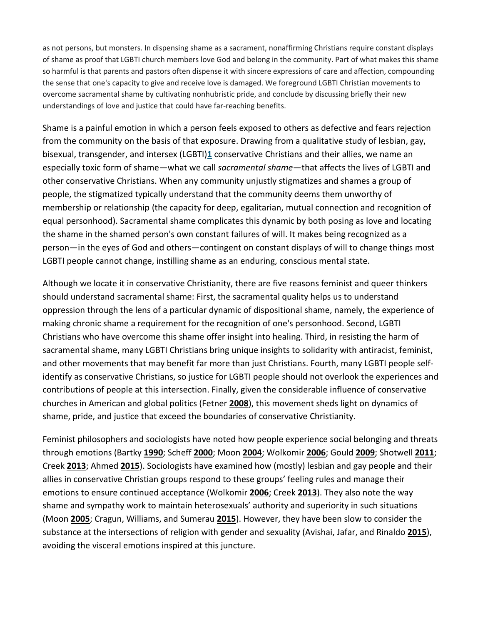as not persons, but monsters. In dispensing shame as a sacrament, nonaffirming Christians require constant displays of shame as proof that LGBTI church members love God and belong in the community. Part of what makes this shame so harmful is that parents and pastors often dispense it with sincere expressions of care and affection, compounding the sense that one's capacity to give and receive love is damaged. We foreground LGBTI Christian movements to overcome sacramental shame by cultivating nonhubristic pride, and conclude by discussing briefly their new understandings of love and justice that could have far-reaching benefits.

Shame is a painful emotion in which a person feels exposed to others as defective and fears rejection from the community on the basis of that exposure. Drawing from a qualitative study of lesbian, gay, bisexual, transgender, and intersex (LGBTI)**[1](https://0-onlinelibrary-wiley-com.libus.csd.mu.edu/doi/10.1111/hypa.12413#hypa12413-note-1003_2)** conservative Christians and their allies, we name an especially toxic form of shame—what we call *sacramental shame*—that affects the lives of LGBTI and other conservative Christians. When any community unjustly stigmatizes and shames a group of people, the stigmatized typically understand that the community deems them unworthy of membership or relationship (the capacity for deep, egalitarian, mutual connection and recognition of equal personhood). Sacramental shame complicates this dynamic by both posing as love and locating the shame in the shamed person's own constant failures of will. It makes being recognized as a person—in the eyes of God and others—contingent on constant displays of will to change things most LGBTI people cannot change, instilling shame as an enduring, conscious mental state.

Although we locate it in conservative Christianity, there are five reasons feminist and queer thinkers should understand sacramental shame: First, the sacramental quality helps us to understand oppression through the lens of a particular dynamic of dispositional shame, namely, the experience of making chronic shame a requirement for the recognition of one's personhood. Second, LGBTI Christians who have overcome this shame offer insight into healing. Third, in resisting the harm of sacramental shame, many LGBTI Christians bring unique insights to solidarity with antiracist, feminist, and other movements that may benefit far more than just Christians. Fourth, many LGBTI people selfidentify as conservative Christians, so justice for LGBTI people should not overlook the experiences and contributions of people at this intersection. Finally, given the considerable influence of conservative churches in American and global politics (Fetner **[2008](https://0-onlinelibrary-wiley-com.libus.csd.mu.edu/doi/10.1111/hypa.12413#hypa12413-bib-0027)**), this movement sheds light on dynamics of shame, pride, and justice that exceed the boundaries of conservative Christianity.

Feminist philosophers and sociologists have noted how people experience social belonging and threats through emotions (Bartky **[1990](https://0-onlinelibrary-wiley-com.libus.csd.mu.edu/doi/10.1111/hypa.12413#hypa12413-bib-0006)**; Scheff **[2000](https://0-onlinelibrary-wiley-com.libus.csd.mu.edu/doi/10.1111/hypa.12413#hypa12413-bib-0058)**; Moon **[2004](https://0-onlinelibrary-wiley-com.libus.csd.mu.edu/doi/10.1111/hypa.12413#hypa12413-bib-0048)**; Wolkomir **[2006](https://0-onlinelibrary-wiley-com.libus.csd.mu.edu/doi/10.1111/hypa.12413#hypa12413-bib-0075)**; Gould **[2009](https://0-onlinelibrary-wiley-com.libus.csd.mu.edu/doi/10.1111/hypa.12413#hypa12413-bib-0030)**; Shotwell **[2011](https://0-onlinelibrary-wiley-com.libus.csd.mu.edu/doi/10.1111/hypa.12413#hypa12413-bib-0060)**; Creek **[2013](https://0-onlinelibrary-wiley-com.libus.csd.mu.edu/doi/10.1111/hypa.12413#hypa12413-bib-0017)**; Ahmed **[2015](https://0-onlinelibrary-wiley-com.libus.csd.mu.edu/doi/10.1111/hypa.12413#hypa12413-bib-0001)**). Sociologists have examined how (mostly) lesbian and gay people and their allies in conservative Christian groups respond to these groups' feeling rules and manage their emotions to ensure continued acceptance (Wolkomir **[2006](https://0-onlinelibrary-wiley-com.libus.csd.mu.edu/doi/10.1111/hypa.12413#hypa12413-bib-0075)**; Creek **[2013](https://0-onlinelibrary-wiley-com.libus.csd.mu.edu/doi/10.1111/hypa.12413#hypa12413-bib-0017)**). They also note the way shame and sympathy work to maintain heterosexuals' authority and superiority in such situations (Moon **[2005](https://0-onlinelibrary-wiley-com.libus.csd.mu.edu/doi/10.1111/hypa.12413#hypa12413-bib-0049)**; Cragun, Williams, and Sumerau **[2015](https://0-onlinelibrary-wiley-com.libus.csd.mu.edu/doi/10.1111/hypa.12413#hypa12413-bib-0016)**). However, they have been slow to consider the substance at the intersections of religion with gender and sexuality (Avishai, Jafar, and Rinaldo **[2015](https://0-onlinelibrary-wiley-com.libus.csd.mu.edu/doi/10.1111/hypa.12413#hypa12413-bib-0003)**), avoiding the visceral emotions inspired at this juncture.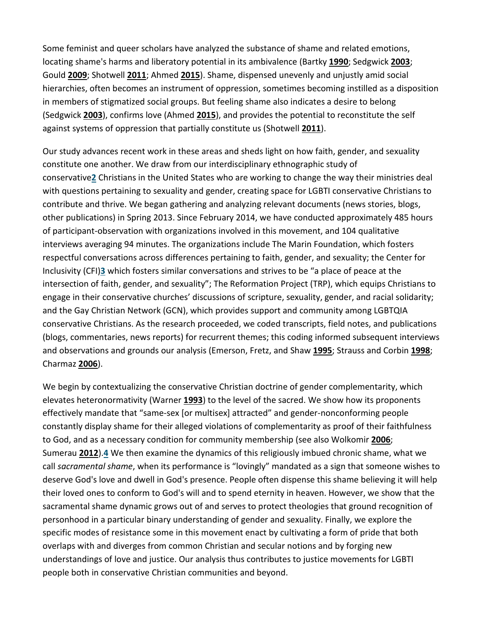Some feminist and queer scholars have analyzed the substance of shame and related emotions, locating shame's harms and liberatory potential in its ambivalence (Bartky **[1990](https://0-onlinelibrary-wiley-com.libus.csd.mu.edu/doi/10.1111/hypa.12413#hypa12413-bib-0006)**; Sedgwick **[2003](https://0-onlinelibrary-wiley-com.libus.csd.mu.edu/doi/10.1111/hypa.12413#hypa12413-bib-0059)**; Gould **[2009](https://0-onlinelibrary-wiley-com.libus.csd.mu.edu/doi/10.1111/hypa.12413#hypa12413-bib-0030)**; Shotwell **[2011](https://0-onlinelibrary-wiley-com.libus.csd.mu.edu/doi/10.1111/hypa.12413#hypa12413-bib-0060)**; Ahmed **[2015](https://0-onlinelibrary-wiley-com.libus.csd.mu.edu/doi/10.1111/hypa.12413#hypa12413-bib-0001)**). Shame, dispensed unevenly and unjustly amid social hierarchies, often becomes an instrument of oppression, sometimes becoming instilled as a disposition in members of stigmatized social groups. But feeling shame also indicates a desire to belong (Sedgwick **[2003](https://0-onlinelibrary-wiley-com.libus.csd.mu.edu/doi/10.1111/hypa.12413#hypa12413-bib-0059)**), confirms love (Ahmed **[2015](https://0-onlinelibrary-wiley-com.libus.csd.mu.edu/doi/10.1111/hypa.12413#hypa12413-bib-0001)**), and provides the potential to reconstitute the self against systems of oppression that partially constitute us (Shotwell **[2011](https://0-onlinelibrary-wiley-com.libus.csd.mu.edu/doi/10.1111/hypa.12413#hypa12413-bib-0060)**).

Our study advances recent work in these areas and sheds light on how faith, gender, and sexuality constitute one another. We draw from our interdisciplinary ethnographic study of conservative**[2](https://0-onlinelibrary-wiley-com.libus.csd.mu.edu/doi/10.1111/hypa.12413#hypa12413-note-1004_25)** Christians in the United States who are working to change the way their ministries deal with questions pertaining to sexuality and gender, creating space for LGBTI conservative Christians to contribute and thrive. We began gathering and analyzing relevant documents (news stories, blogs, other publications) in Spring 2013. Since February 2014, we have conducted approximately 485 hours of participant-observation with organizations involved in this movement, and 104 qualitative interviews averaging 94 minutes. The organizations include The Marin Foundation, which fosters respectful conversations across differences pertaining to faith, gender, and sexuality; the Center for Inclusivity (CFI)**[3](https://0-onlinelibrary-wiley-com.libus.csd.mu.edu/doi/10.1111/hypa.12413#hypa12413-note-1005_26)** which fosters similar conversations and strives to be "a place of peace at the intersection of faith, gender, and sexuality"; The Reformation Project (TRP), which equips Christians to engage in their conservative churches' discussions of scripture, sexuality, gender, and racial solidarity; and the Gay Christian Network (GCN), which provides support and community among LGBTQIA conservative Christians. As the research proceeded, we coded transcripts, field notes, and publications (blogs, commentaries, news reports) for recurrent themes; this coding informed subsequent interviews and observations and grounds our analysis (Emerson, Fretz, and Shaw **[1995](https://0-onlinelibrary-wiley-com.libus.csd.mu.edu/doi/10.1111/hypa.12413#hypa12413-bib-0024)**; Strauss and Corbin **[1998](https://0-onlinelibrary-wiley-com.libus.csd.mu.edu/doi/10.1111/hypa.12413#hypa12413-bib-0062)**; Charmaz **[2006](https://0-onlinelibrary-wiley-com.libus.csd.mu.edu/doi/10.1111/hypa.12413#hypa12413-bib-0012)**).

We begin by contextualizing the conservative Christian doctrine of gender complementarity, which elevates heteronormativity (Warner **[1993](https://0-onlinelibrary-wiley-com.libus.csd.mu.edu/doi/10.1111/hypa.12413#hypa12413-bib-0072)**) to the level of the sacred. We show how its proponents effectively mandate that "same-sex [or multisex] attracted" and gender-nonconforming people constantly display shame for their alleged violations of complementarity as proof of their faithfulness to God, and as a necessary condition for community membership (see also Wolkomir **[2006](https://0-onlinelibrary-wiley-com.libus.csd.mu.edu/doi/10.1111/hypa.12413#hypa12413-bib-0075)**; Sumerau **[2012](https://0-onlinelibrary-wiley-com.libus.csd.mu.edu/doi/10.1111/hypa.12413#hypa12413-bib-0064)**).**[4](https://0-onlinelibrary-wiley-com.libus.csd.mu.edu/doi/10.1111/hypa.12413#hypa12413-note-1006_33)** We then examine the dynamics of this religiously imbued chronic shame, what we call *sacramental shame*, when its performance is "lovingly" mandated as a sign that someone wishes to deserve God's love and dwell in God's presence. People often dispense this shame believing it will help their loved ones to conform to God's will and to spend eternity in heaven. However, we show that the sacramental shame dynamic grows out of and serves to protect theologies that ground recognition of personhood in a particular binary understanding of gender and sexuality. Finally, we explore the specific modes of resistance some in this movement enact by cultivating a form of pride that both overlaps with and diverges from common Christian and secular notions and by forging new understandings of love and justice. Our analysis thus contributes to justice movements for LGBTI people both in conservative Christian communities and beyond.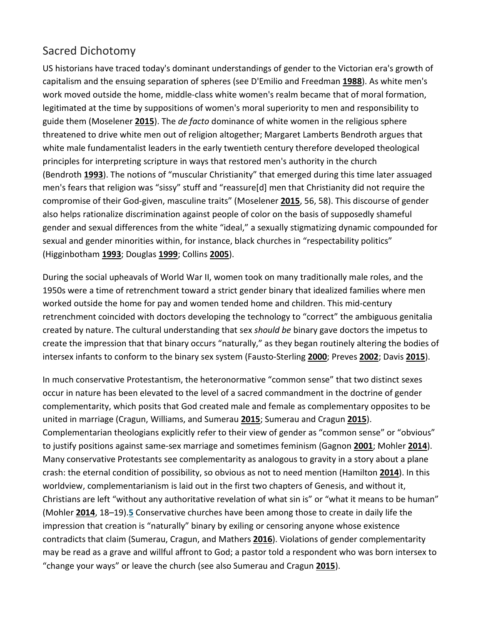#### Sacred Dichotomy

US historians have traced today's dominant understandings of gender to the Victorian era's growth of capitalism and the ensuing separation of spheres (see D'Emilio and Freedman **[1988](https://0-onlinelibrary-wiley-com.libus.csd.mu.edu/doi/10.1111/hypa.12413#hypa12413-bib-0020)**). As white men's work moved outside the home, middle-class white women's realm became that of moral formation, legitimated at the time by suppositions of women's moral superiority to men and responsibility to guide them (Moselener **[2015](https://0-onlinelibrary-wiley-com.libus.csd.mu.edu/doi/10.1111/hypa.12413#hypa12413-bib-0050)**). The *de facto* dominance of white women in the religious sphere threatened to drive white men out of religion altogether; Margaret Lamberts Bendroth argues that white male fundamentalist leaders in the early twentieth century therefore developed theological principles for interpreting scripture in ways that restored men's authority in the church (Bendroth **[1993](https://0-onlinelibrary-wiley-com.libus.csd.mu.edu/doi/10.1111/hypa.12413#hypa12413-bib-0008)**). The notions of "muscular Christianity" that emerged during this time later assuaged men's fears that religion was "sissy" stuff and "reassure[d] men that Christianity did not require the compromise of their God-given, masculine traits" (Moselener **[2015](https://0-onlinelibrary-wiley-com.libus.csd.mu.edu/doi/10.1111/hypa.12413#hypa12413-bib-0050)**, 56, 58). This discourse of gender also helps rationalize discrimination against people of color on the basis of supposedly shameful gender and sexual differences from the white "ideal," a sexually stigmatizing dynamic compounded for sexual and gender minorities within, for instance, black churches in "respectability politics" (Higginbotham **[1993](https://0-onlinelibrary-wiley-com.libus.csd.mu.edu/doi/10.1111/hypa.12413#hypa12413-bib-0033)**; Douglas **[1999](https://0-onlinelibrary-wiley-com.libus.csd.mu.edu/doi/10.1111/hypa.12413#hypa12413-bib-0022)**; Collins **[2005](https://0-onlinelibrary-wiley-com.libus.csd.mu.edu/doi/10.1111/hypa.12413#hypa12413-bib-0013)**).

During the social upheavals of World War II, women took on many traditionally male roles, and the 1950s were a time of retrenchment toward a strict gender binary that idealized families where men worked outside the home for pay and women tended home and children. This mid-century retrenchment coincided with doctors developing the technology to "correct" the ambiguous genitalia created by nature. The cultural understanding that sex *should be* binary gave doctors the impetus to create the impression that that binary occurs "naturally," as they began routinely altering the bodies of intersex infants to conform to the binary sex system (Fausto-Sterling **[2000](https://0-onlinelibrary-wiley-com.libus.csd.mu.edu/doi/10.1111/hypa.12413#hypa12413-bib-0026)**; Preves **[2002](https://0-onlinelibrary-wiley-com.libus.csd.mu.edu/doi/10.1111/hypa.12413#hypa12413-bib-0052)**; Davis **[2015](https://0-onlinelibrary-wiley-com.libus.csd.mu.edu/doi/10.1111/hypa.12413#hypa12413-bib-0019)**).

In much conservative Protestantism, the heteronormative "common sense" that two distinct sexes occur in nature has been elevated to the level of a sacred commandment in the doctrine of gender complementarity, which posits that God created male and female as complementary opposites to be united in marriage (Cragun, Williams, and Sumerau **[2015](https://0-onlinelibrary-wiley-com.libus.csd.mu.edu/doi/10.1111/hypa.12413#hypa12413-bib-0016)**; Sumerau and Cragun **[2015](https://0-onlinelibrary-wiley-com.libus.csd.mu.edu/doi/10.1111/hypa.12413#hypa12413-bib-0065)**). Complementarian theologians explicitly refer to their view of gender as "common sense" or "obvious" to justify positions against same-sex marriage and sometimes feminism (Gagnon **[2001](https://0-onlinelibrary-wiley-com.libus.csd.mu.edu/doi/10.1111/hypa.12413#hypa12413-bib-0028)**; Mohler **[2014](https://0-onlinelibrary-wiley-com.libus.csd.mu.edu/doi/10.1111/hypa.12413#hypa12413-bib-0047)**). Many conservative Protestants see complementarity as analogous to gravity in a story about a plane crash: the eternal condition of possibility, so obvious as not to need mention (Hamilton **[2014](https://0-onlinelibrary-wiley-com.libus.csd.mu.edu/doi/10.1111/hypa.12413#hypa12413-bib-0032)**). In this worldview, complementarianism is laid out in the first two chapters of Genesis, and without it, Christians are left "without any authoritative revelation of what sin is" or "what it means to be human" (Mohler **[2014](https://0-onlinelibrary-wiley-com.libus.csd.mu.edu/doi/10.1111/hypa.12413#hypa12413-bib-0047)**, 18–19).**[5](https://0-onlinelibrary-wiley-com.libus.csd.mu.edu/doi/10.1111/hypa.12413#hypa12413-note-1007_50)** Conservative churches have been among those to create in daily life the impression that creation is "naturally" binary by exiling or censoring anyone whose existence contradicts that claim (Sumerau, Cragun, and Mathers **[2016](https://0-onlinelibrary-wiley-com.libus.csd.mu.edu/doi/10.1111/hypa.12413#hypa12413-bib-0066)**). Violations of gender complementarity may be read as a grave and willful affront to God; a pastor told a respondent who was born intersex to "change your ways" or leave the church (see also Sumerau and Cragun **[2015](https://0-onlinelibrary-wiley-com.libus.csd.mu.edu/doi/10.1111/hypa.12413#hypa12413-bib-0065)**).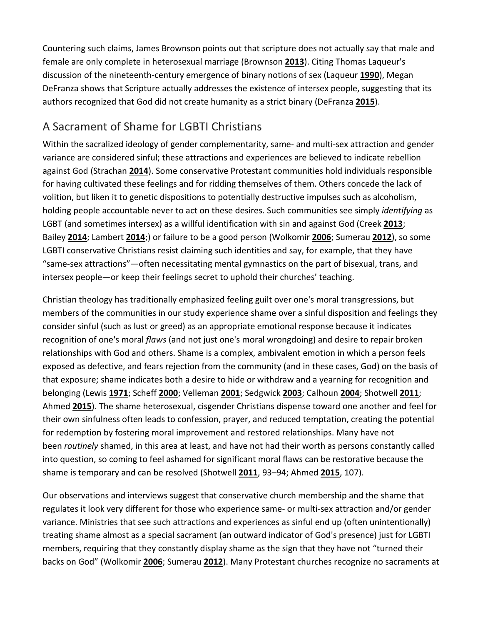Countering such claims, James Brownson points out that scripture does not actually say that male and female are only complete in heterosexual marriage (Brownson **[2013](https://0-onlinelibrary-wiley-com.libus.csd.mu.edu/doi/10.1111/hypa.12413#hypa12413-bib-0010)**). Citing Thomas Laqueur's discussion of the nineteenth-century emergence of binary notions of sex (Laqueur **[1990](https://0-onlinelibrary-wiley-com.libus.csd.mu.edu/doi/10.1111/hypa.12413#hypa12413-bib-0040)**), Megan DeFranza shows that Scripture actually addresses the existence of intersex people, suggesting that its authors recognized that God did not create humanity as a strict binary (DeFranza **[2015](https://0-onlinelibrary-wiley-com.libus.csd.mu.edu/doi/10.1111/hypa.12413#hypa12413-bib-0021)**).

#### A Sacrament of Shame for LGBTI Christians

Within the sacralized ideology of gender complementarity, same- and multi-sex attraction and gender variance are considered sinful; these attractions and experiences are believed to indicate rebellion against God (Strachan **[2014](https://0-onlinelibrary-wiley-com.libus.csd.mu.edu/doi/10.1111/hypa.12413#hypa12413-bib-0061)**). Some conservative Protestant communities hold individuals responsible for having cultivated these feelings and for ridding themselves of them. Others concede the lack of volition, but liken it to genetic dispositions to potentially destructive impulses such as alcoholism, holding people accountable never to act on these desires. Such communities see simply *identifying* as LGBT (and sometimes intersex) as a willful identification with sin and against God (Creek **[2013](https://0-onlinelibrary-wiley-com.libus.csd.mu.edu/doi/10.1111/hypa.12413#hypa12413-bib-0017)**; Bailey **[2014](https://0-onlinelibrary-wiley-com.libus.csd.mu.edu/doi/10.1111/hypa.12413#hypa12413-bib-0004)**; Lambert **[2014](https://0-onlinelibrary-wiley-com.libus.csd.mu.edu/doi/10.1111/hypa.12413#hypa12413-bib-0039)**;) or failure to be a good person (Wolkomir **[2006](https://0-onlinelibrary-wiley-com.libus.csd.mu.edu/doi/10.1111/hypa.12413#hypa12413-bib-0075)**; Sumerau **[2012](https://0-onlinelibrary-wiley-com.libus.csd.mu.edu/doi/10.1111/hypa.12413#hypa12413-bib-0064)**), so some LGBTI conservative Christians resist claiming such identities and say, for example, that they have "same-sex attractions"—often necessitating mental gymnastics on the part of bisexual, trans, and intersex people—or keep their feelings secret to uphold their churches' teaching.

Christian theology has traditionally emphasized feeling guilt over one's moral transgressions, but members of the communities in our study experience shame over a sinful disposition and feelings they consider sinful (such as lust or greed) as an appropriate emotional response because it indicates recognition of one's moral *flaws* (and not just one's moral wrongdoing) and desire to repair broken relationships with God and others. Shame is a complex, ambivalent emotion in which a person feels exposed as defective, and fears rejection from the community (and in these cases, God) on the basis of that exposure; shame indicates both a desire to hide or withdraw and a yearning for recognition and belonging (Lewis **[1971](https://0-onlinelibrary-wiley-com.libus.csd.mu.edu/doi/10.1111/hypa.12413#hypa12413-bib-0043)**; Scheff **[2000](https://0-onlinelibrary-wiley-com.libus.csd.mu.edu/doi/10.1111/hypa.12413#hypa12413-bib-0058)**; Velleman **[2001](https://0-onlinelibrary-wiley-com.libus.csd.mu.edu/doi/10.1111/hypa.12413#hypa12413-bib-0069)**; Sedgwick **[2003](https://0-onlinelibrary-wiley-com.libus.csd.mu.edu/doi/10.1111/hypa.12413#hypa12413-bib-0059)**; Calhoun **[2004](https://0-onlinelibrary-wiley-com.libus.csd.mu.edu/doi/10.1111/hypa.12413#hypa12413-bib-0011)**; Shotwell **[2011](https://0-onlinelibrary-wiley-com.libus.csd.mu.edu/doi/10.1111/hypa.12413#hypa12413-bib-0060)**; Ahmed **[2015](https://0-onlinelibrary-wiley-com.libus.csd.mu.edu/doi/10.1111/hypa.12413#hypa12413-bib-0001)**). The shame heterosexual, cisgender Christians dispense toward one another and feel for their own sinfulness often leads to confession, prayer, and reduced temptation, creating the potential for redemption by fostering moral improvement and restored relationships. Many have not been *routinely* shamed, in this area at least, and have not had their worth as persons constantly called into question, so coming to feel ashamed for significant moral flaws can be restorative because the shame is temporary and can be resolved (Shotwell **[2011](https://0-onlinelibrary-wiley-com.libus.csd.mu.edu/doi/10.1111/hypa.12413#hypa12413-bib-0060)**, 93–94; Ahmed **[2015](https://0-onlinelibrary-wiley-com.libus.csd.mu.edu/doi/10.1111/hypa.12413#hypa12413-bib-0001)**, 107).

Our observations and interviews suggest that conservative church membership and the shame that regulates it look very different for those who experience same- or multi-sex attraction and/or gender variance. Ministries that see such attractions and experiences as sinful end up (often unintentionally) treating shame almost as a special sacrament (an outward indicator of God's presence) just for LGBTI members, requiring that they constantly display shame as the sign that they have not "turned their backs on God" (Wolkomir **[2006](https://0-onlinelibrary-wiley-com.libus.csd.mu.edu/doi/10.1111/hypa.12413#hypa12413-bib-0075)**; Sumerau **[2012](https://0-onlinelibrary-wiley-com.libus.csd.mu.edu/doi/10.1111/hypa.12413#hypa12413-bib-0064)**). Many Protestant churches recognize no sacraments at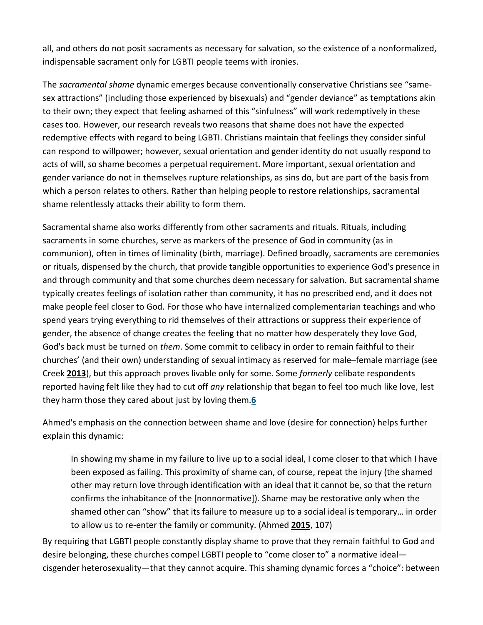all, and others do not posit sacraments as necessary for salvation, so the existence of a nonformalized, indispensable sacrament only for LGBTI people teems with ironies.

The *sacramental shame* dynamic emerges because conventionally conservative Christians see "samesex attractions" (including those experienced by bisexuals) and "gender deviance" as temptations akin to their own; they expect that feeling ashamed of this "sinfulness" will work redemptively in these cases too. However, our research reveals two reasons that shame does not have the expected redemptive effects with regard to being LGBTI. Christians maintain that feelings they consider sinful can respond to willpower; however, sexual orientation and gender identity do not usually respond to acts of will, so shame becomes a perpetual requirement. More important, sexual orientation and gender variance do not in themselves rupture relationships, as sins do, but are part of the basis from which a person relates to others. Rather than helping people to restore relationships, sacramental shame relentlessly attacks their ability to form them.

Sacramental shame also works differently from other sacraments and rituals. Rituals, including sacraments in some churches, serve as markers of the presence of God in community (as in communion), often in times of liminality (birth, marriage). Defined broadly, sacraments are ceremonies or rituals, dispensed by the church, that provide tangible opportunities to experience God's presence in and through community and that some churches deem necessary for salvation. But sacramental shame typically creates feelings of isolation rather than community, it has no prescribed end, and it does not make people feel closer to God. For those who have internalized complementarian teachings and who spend years trying everything to rid themselves of their attractions or suppress their experience of gender, the absence of change creates the feeling that no matter how desperately they love God, God's back must be turned on *them*. Some commit to celibacy in order to remain faithful to their churches' (and their own) understanding of sexual intimacy as reserved for male–female marriage (see Creek **[2013](https://0-onlinelibrary-wiley-com.libus.csd.mu.edu/doi/10.1111/hypa.12413#hypa12413-bib-0017)**), but this approach proves livable only for some. Some *formerly* celibate respondents reported having felt like they had to cut off *any* relationship that began to feel too much like love, lest they harm those they cared about just by loving them.**[6](https://0-onlinelibrary-wiley-com.libus.csd.mu.edu/doi/10.1111/hypa.12413#hypa12413-note-1008_74)**

Ahmed's emphasis on the connection between shame and love (desire for connection) helps further explain this dynamic:

In showing my shame in my failure to live up to a social ideal, I come closer to that which I have been exposed as failing. This proximity of shame can, of course, repeat the injury (the shamed other may return love through identification with an ideal that it cannot be, so that the return confirms the inhabitance of the [nonnormative]). Shame may be restorative only when the shamed other can "show" that its failure to measure up to a social ideal is temporary… in order to allow us to re-enter the family or community. (Ahmed **[2015](https://0-onlinelibrary-wiley-com.libus.csd.mu.edu/doi/10.1111/hypa.12413#hypa12413-bib-0001)**, 107)

By requiring that LGBTI people constantly display shame to prove that they remain faithful to God and desire belonging, these churches compel LGBTI people to "come closer to" a normative ideal cisgender heterosexuality—that they cannot acquire. This shaming dynamic forces a "choice": between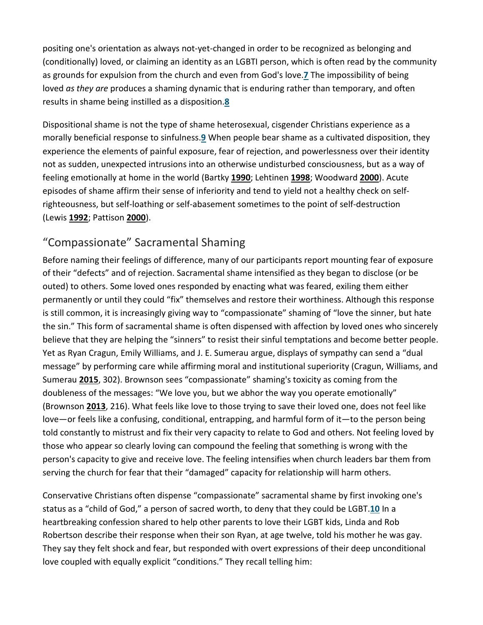positing one's orientation as always not-yet-changed in order to be recognized as belonging and (conditionally) loved, or claiming an identity as an LGBTI person, which is often read by the community as grounds for expulsion from the church and even from God's love.**[7](https://0-onlinelibrary-wiley-com.libus.csd.mu.edu/doi/10.1111/hypa.12413#hypa12413-note-1009_76)** The impossibility of being loved *as they are* produces a shaming dynamic that is enduring rather than temporary, and often results in shame being instilled as a disposition.**[8](https://0-onlinelibrary-wiley-com.libus.csd.mu.edu/doi/10.1111/hypa.12413#hypa12413-note-1010_77)**

Dispositional shame is not the type of shame heterosexual, cisgender Christians experience as a morally beneficial response to sinfulness.**[9](https://0-onlinelibrary-wiley-com.libus.csd.mu.edu/doi/10.1111/hypa.12413#hypa12413-note-1011_78)** When people bear shame as a cultivated disposition, they experience the elements of painful exposure, fear of rejection, and powerlessness over their identity not as sudden, unexpected intrusions into an otherwise undisturbed consciousness, but as a way of feeling emotionally at home in the world (Bartky **[1990](https://0-onlinelibrary-wiley-com.libus.csd.mu.edu/doi/10.1111/hypa.12413#hypa12413-bib-0006)**; Lehtinen **[1998](https://0-onlinelibrary-wiley-com.libus.csd.mu.edu/doi/10.1111/hypa.12413#hypa12413-bib-0042)**; Woodward **[2000](https://0-onlinelibrary-wiley-com.libus.csd.mu.edu/doi/10.1111/hypa.12413#hypa12413-bib-0076)**). Acute episodes of shame affirm their sense of inferiority and tend to yield not a healthy check on selfrighteousness, but self-loathing or self-abasement sometimes to the point of self-destruction (Lewis **[1992](https://0-onlinelibrary-wiley-com.libus.csd.mu.edu/doi/10.1111/hypa.12413#hypa12413-bib-0044)**; Pattison **[2000](https://0-onlinelibrary-wiley-com.libus.csd.mu.edu/doi/10.1111/hypa.12413#hypa12413-bib-0051)**).

#### "Compassionate" Sacramental Shaming

Before naming their feelings of difference, many of our participants report mounting fear of exposure of their "defects" and of rejection. Sacramental shame intensified as they began to disclose (or be outed) to others. Some loved ones responded by enacting what was feared, exiling them either permanently or until they could "fix" themselves and restore their worthiness. Although this response is still common, it is increasingly giving way to "compassionate" shaming of "love the sinner, but hate the sin." This form of sacramental shame is often dispensed with affection by loved ones who sincerely believe that they are helping the "sinners" to resist their sinful temptations and become better people. Yet as Ryan Cragun, Emily Williams, and J. E. Sumerau argue, displays of sympathy can send a "dual message" by performing care while affirming moral and institutional superiority (Cragun, Williams, and Sumerau **[2015](https://0-onlinelibrary-wiley-com.libus.csd.mu.edu/doi/10.1111/hypa.12413#hypa12413-bib-0016)**, 302). Brownson sees "compassionate" shaming's toxicity as coming from the doubleness of the messages: "We love you, but we abhor the way you operate emotionally" (Brownson **[2013](https://0-onlinelibrary-wiley-com.libus.csd.mu.edu/doi/10.1111/hypa.12413#hypa12413-bib-0010)**, 216). What feels like love to those trying to save their loved one, does not feel like love—or feels like a confusing, conditional, entrapping, and harmful form of it—to the person being told constantly to mistrust and fix their very capacity to relate to God and others. Not feeling loved by those who appear so clearly loving can compound the feeling that something is wrong with the person's capacity to give and receive love. The feeling intensifies when church leaders bar them from serving the church for fear that their "damaged" capacity for relationship will harm others.

Conservative Christians often dispense "compassionate" sacramental shame by first invoking one's status as a "child of God," a person of sacred worth, to deny that they could be LGBT.**[10](https://0-onlinelibrary-wiley-com.libus.csd.mu.edu/doi/10.1111/hypa.12413#hypa12413-note-1012_86)** In a heartbreaking confession shared to help other parents to love their LGBT kids, Linda and Rob Robertson describe their response when their son Ryan, at age twelve, told his mother he was gay. They say they felt shock and fear, but responded with overt expressions of their deep unconditional love coupled with equally explicit "conditions." They recall telling him: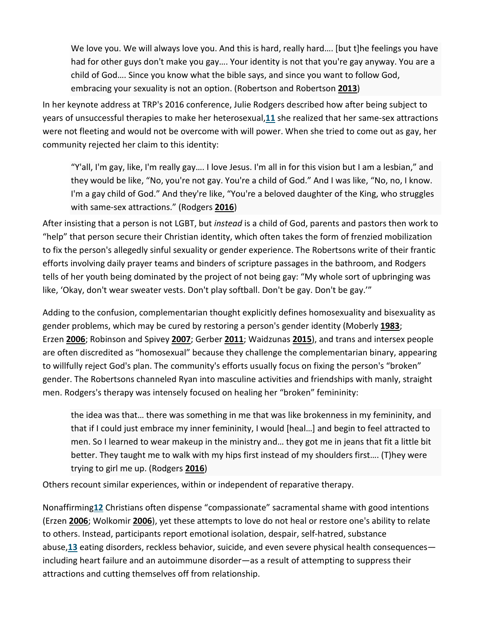We love you. We will always love you. And this is hard, really hard.... [but t]he feelings you have had for other guys don't make you gay…. Your identity is not that you're gay anyway. You are a child of God…. Since you know what the bible says, and since you want to follow God, embracing your sexuality is not an option. (Robertson and Robertson **[2013](https://0-onlinelibrary-wiley-com.libus.csd.mu.edu/doi/10.1111/hypa.12413#hypa12413-bib-0054)**)

In her keynote address at TRP's 2016 conference, Julie Rodgers described how after being subject to years of unsuccessful therapies to make her heterosexual,**[11](https://0-onlinelibrary-wiley-com.libus.csd.mu.edu/doi/10.1111/hypa.12413#hypa12413-note-1013_88)** she realized that her same-sex attractions were not fleeting and would not be overcome with will power. When she tried to come out as gay, her community rejected her claim to this identity:

"Y'all, I'm gay, like, I'm really gay…. I love Jesus. I'm all in for this vision but I am a lesbian," and they would be like, "No, you're not gay. You're a child of God." And I was like, "No, no, I know. I'm a gay child of God." And they're like, "You're a beloved daughter of the King, who struggles with same-sex attractions." (Rodgers **[2016](https://0-onlinelibrary-wiley-com.libus.csd.mu.edu/doi/10.1111/hypa.12413#hypa12413-bib-0057)**)

After insisting that a person is not LGBT, but *instead* is a child of God, parents and pastors then work to "help" that person secure their Christian identity, which often takes the form of frenzied mobilization to fix the person's allegedly sinful sexuality or gender experience. The Robertsons write of their frantic efforts involving daily prayer teams and binders of scripture passages in the bathroom, and Rodgers tells of her youth being dominated by the project of not being gay: "My whole sort of upbringing was like, 'Okay, don't wear sweater vests. Don't play softball. Don't be gay. Don't be gay.'"

Adding to the confusion, complementarian thought explicitly defines homosexuality and bisexuality as gender problems, which may be cured by restoring a person's gender identity (Moberly **[1983](https://0-onlinelibrary-wiley-com.libus.csd.mu.edu/doi/10.1111/hypa.12413#hypa12413-bib-0046)**; Erzen **[2006](https://0-onlinelibrary-wiley-com.libus.csd.mu.edu/doi/10.1111/hypa.12413#hypa12413-bib-0025)**; Robinson and Spivey **[2007](https://0-onlinelibrary-wiley-com.libus.csd.mu.edu/doi/10.1111/hypa.12413#hypa12413-bib-0056)**; Gerber **[2011](https://0-onlinelibrary-wiley-com.libus.csd.mu.edu/doi/10.1111/hypa.12413#hypa12413-bib-0029)**; Waidzunas **[2015](https://0-onlinelibrary-wiley-com.libus.csd.mu.edu/doi/10.1111/hypa.12413#hypa12413-bib-0071)**), and trans and intersex people are often discredited as "homosexual" because they challenge the complementarian binary, appearing to willfully reject God's plan. The community's efforts usually focus on fixing the person's "broken" gender. The Robertsons channeled Ryan into masculine activities and friendships with manly, straight men. Rodgers's therapy was intensely focused on healing her "broken" femininity:

the idea was that… there was something in me that was like brokenness in my femininity, and that if I could just embrace my inner femininity, I would [heal…] and begin to feel attracted to men. So I learned to wear makeup in the ministry and… they got me in jeans that fit a little bit better. They taught me to walk with my hips first instead of my shoulders first…. (T)hey were trying to girl me up. (Rodgers **[2016](https://0-onlinelibrary-wiley-com.libus.csd.mu.edu/doi/10.1111/hypa.12413#hypa12413-bib-0057)**)

Others recount similar experiences, within or independent of reparative therapy.

Nonaffirming**[12](https://0-onlinelibrary-wiley-com.libus.csd.mu.edu/doi/10.1111/hypa.12413#hypa12413-note-1014_96)** Christians often dispense "compassionate" sacramental shame with good intentions (Erzen **[2006](https://0-onlinelibrary-wiley-com.libus.csd.mu.edu/doi/10.1111/hypa.12413#hypa12413-bib-0025)**; Wolkomir **[2006](https://0-onlinelibrary-wiley-com.libus.csd.mu.edu/doi/10.1111/hypa.12413#hypa12413-bib-0075)**), yet these attempts to love do not heal or restore one's ability to relate to others. Instead, participants report emotional isolation, despair, self-hatred, substance abuse,**[13](https://0-onlinelibrary-wiley-com.libus.csd.mu.edu/doi/10.1111/hypa.12413#hypa12413-note-1015_99)** eating disorders, reckless behavior, suicide, and even severe physical health consequences including heart failure and an autoimmune disorder—as a result of attempting to suppress their attractions and cutting themselves off from relationship.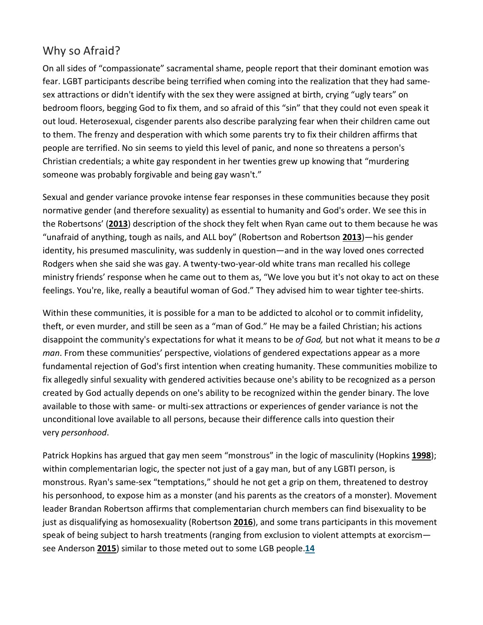#### Why so Afraid?

On all sides of "compassionate" sacramental shame, people report that their dominant emotion was fear. LGBT participants describe being terrified when coming into the realization that they had samesex attractions or didn't identify with the sex they were assigned at birth, crying "ugly tears" on bedroom floors, begging God to fix them, and so afraid of this "sin" that they could not even speak it out loud. Heterosexual, cisgender parents also describe paralyzing fear when their children came out to them. The frenzy and desperation with which some parents try to fix their children affirms that people are terrified. No sin seems to yield this level of panic, and none so threatens a person's Christian credentials; a white gay respondent in her twenties grew up knowing that "murdering someone was probably forgivable and being gay wasn't."

Sexual and gender variance provoke intense fear responses in these communities because they posit normative gender (and therefore sexuality) as essential to humanity and God's order. We see this in the Robertsons' (**[2013](https://0-onlinelibrary-wiley-com.libus.csd.mu.edu/doi/10.1111/hypa.12413#hypa12413-bib-0054)**) description of the shock they felt when Ryan came out to them because he was "unafraid of anything, tough as nails, and ALL boy" (Robertson and Robertson **[2013](https://0-onlinelibrary-wiley-com.libus.csd.mu.edu/doi/10.1111/hypa.12413#hypa12413-bib-0054)**)—his gender identity, his presumed masculinity, was suddenly in question—and in the way loved ones corrected Rodgers when she said she was gay. A twenty-two-year-old white trans man recalled his college ministry friends' response when he came out to them as, "We love you but it's not okay to act on these feelings. You're, like, really a beautiful woman of God." They advised him to wear tighter tee-shirts.

Within these communities, it is possible for a man to be addicted to alcohol or to commit infidelity, theft, or even murder, and still be seen as a "man of God." He may be a failed Christian; his actions disappoint the community's expectations for what it means to be *of God,* but not what it means to be *a man*. From these communities' perspective, violations of gendered expectations appear as a more fundamental rejection of God's first intention when creating humanity. These communities mobilize to fix allegedly sinful sexuality with gendered activities because one's ability to be recognized as a person created by God actually depends on one's ability to be recognized within the gender binary. The love available to those with same- or multi-sex attractions or experiences of gender variance is not the unconditional love available to all persons, because their difference calls into question their very *personhood*.

Patrick Hopkins has argued that gay men seem "monstrous" in the logic of masculinity (Hopkins **[1998](https://0-onlinelibrary-wiley-com.libus.csd.mu.edu/doi/10.1111/hypa.12413#hypa12413-bib-0035)**); within complementarian logic, the specter not just of a gay man, but of any LGBTI person, is monstrous. Ryan's same-sex "temptations," should he not get a grip on them, threatened to destroy his personhood, to expose him as a monster (and his parents as the creators of a monster). Movement leader Brandan Robertson affirms that complementarian church members can find bisexuality to be just as disqualifying as homosexuality (Robertson **[2016](https://0-onlinelibrary-wiley-com.libus.csd.mu.edu/doi/10.1111/hypa.12413#hypa12413-bib-0053)**), and some trans participants in this movement speak of being subject to harsh treatments (ranging from exclusion to violent attempts at exorcism see Anderson **[2015](https://0-onlinelibrary-wiley-com.libus.csd.mu.edu/doi/10.1111/hypa.12413#hypa12413-bib-0002)**) similar to those meted out to some LGB people.**[14](https://0-onlinelibrary-wiley-com.libus.csd.mu.edu/doi/10.1111/hypa.12413#hypa12413-note-1016_105)**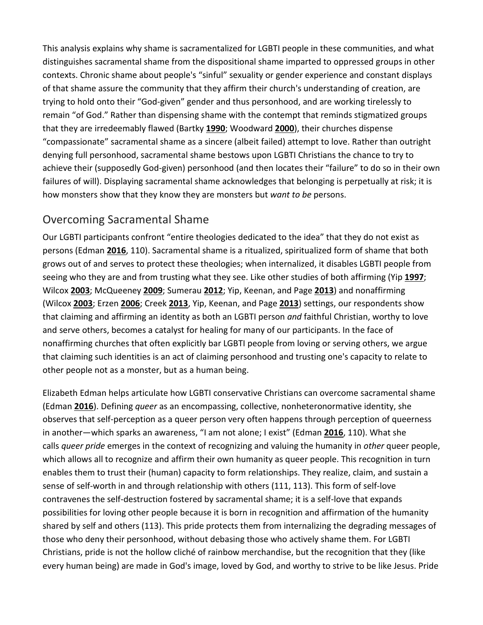This analysis explains why shame is sacramentalized for LGBTI people in these communities, and what distinguishes sacramental shame from the dispositional shame imparted to oppressed groups in other contexts. Chronic shame about people's "sinful" sexuality or gender experience and constant displays of that shame assure the community that they affirm their church's understanding of creation, are trying to hold onto their "God-given" gender and thus personhood, and are working tirelessly to remain "of God." Rather than dispensing shame with the contempt that reminds stigmatized groups that they are irredeemably flawed (Bartky **[1990](https://0-onlinelibrary-wiley-com.libus.csd.mu.edu/doi/10.1111/hypa.12413#hypa12413-bib-0006)**; Woodward **[2000](https://0-onlinelibrary-wiley-com.libus.csd.mu.edu/doi/10.1111/hypa.12413#hypa12413-bib-0076)**), their churches dispense "compassionate" sacramental shame as a sincere (albeit failed) attempt to love. Rather than outright denying full personhood, sacramental shame bestows upon LGBTI Christians the chance to try to achieve their (supposedly God-given) personhood (and then locates their "failure" to do so in their own failures of will). Displaying sacramental shame acknowledges that belonging is perpetually at risk; it is how monsters show that they know they are monsters but *want to be* persons.

#### Overcoming Sacramental Shame

Our LGBTI participants confront "entire theologies dedicated to the idea" that they do not exist as persons (Edman **[2016](https://0-onlinelibrary-wiley-com.libus.csd.mu.edu/doi/10.1111/hypa.12413#hypa12413-bib-0023)**, 110). Sacramental shame is a ritualized, spiritualized form of shame that both grows out of and serves to protect these theologies; when internalized, it disables LGBTI people from seeing who they are and from trusting what they see. Like other studies of both affirming (Yip **[1997](https://0-onlinelibrary-wiley-com.libus.csd.mu.edu/doi/10.1111/hypa.12413#hypa12413-bib-0077)**; Wilcox **[2003](https://0-onlinelibrary-wiley-com.libus.csd.mu.edu/doi/10.1111/hypa.12413#hypa12413-bib-0074)**; McQueeney **[2009](https://0-onlinelibrary-wiley-com.libus.csd.mu.edu/doi/10.1111/hypa.12413#hypa12413-bib-0045)**; Sumerau **[2012](https://0-onlinelibrary-wiley-com.libus.csd.mu.edu/doi/10.1111/hypa.12413#hypa12413-bib-0064)**; Yip, Keenan, and Page **[2013](https://0-onlinelibrary-wiley-com.libus.csd.mu.edu/doi/10.1111/hypa.12413#hypa12413-bib-0078)**) and nonaffirming (Wilcox **[2003](https://0-onlinelibrary-wiley-com.libus.csd.mu.edu/doi/10.1111/hypa.12413#hypa12413-bib-0074)**; Erzen **[2006](https://0-onlinelibrary-wiley-com.libus.csd.mu.edu/doi/10.1111/hypa.12413#hypa12413-bib-0025)**; Creek **[2013](https://0-onlinelibrary-wiley-com.libus.csd.mu.edu/doi/10.1111/hypa.12413#hypa12413-bib-0017)**, Yip, Keenan, and Page **[2013](https://0-onlinelibrary-wiley-com.libus.csd.mu.edu/doi/10.1111/hypa.12413#hypa12413-bib-0078)**) settings, our respondents show that claiming and affirming an identity as both an LGBTI person *and* faithful Christian, worthy to love and serve others, becomes a catalyst for healing for many of our participants. In the face of nonaffirming churches that often explicitly bar LGBTI people from loving or serving others, we argue that claiming such identities is an act of claiming personhood and trusting one's capacity to relate to other people not as a monster, but as a human being.

Elizabeth Edman helps articulate how LGBTI conservative Christians can overcome sacramental shame (Edman **[2016](https://0-onlinelibrary-wiley-com.libus.csd.mu.edu/doi/10.1111/hypa.12413#hypa12413-bib-0023)**). Defining *queer* as an encompassing, collective, nonheteronormative identity, she observes that self-perception as a queer person very often happens through perception of queerness in another—which sparks an awareness, "I am not alone; I exist" (Edman **[2016](https://0-onlinelibrary-wiley-com.libus.csd.mu.edu/doi/10.1111/hypa.12413#hypa12413-bib-0023)**, 110). What she calls *queer pride* emerges in the context of recognizing and valuing the humanity in *other* queer people, which allows all to recognize and affirm their own humanity as queer people. This recognition in turn enables them to trust their (human) capacity to form relationships. They realize, claim, and sustain a sense of self-worth in and through relationship with others (111, 113). This form of self-love contravenes the self-destruction fostered by sacramental shame; it is a self-love that expands possibilities for loving other people because it is born in recognition and affirmation of the humanity shared by self and others (113). This pride protects them from internalizing the degrading messages of those who deny their personhood, without debasing those who actively shame them. For LGBTI Christians, pride is not the hollow cliché of rainbow merchandise, but the recognition that they (like every human being) are made in God's image, loved by God, and worthy to strive to be like Jesus. Pride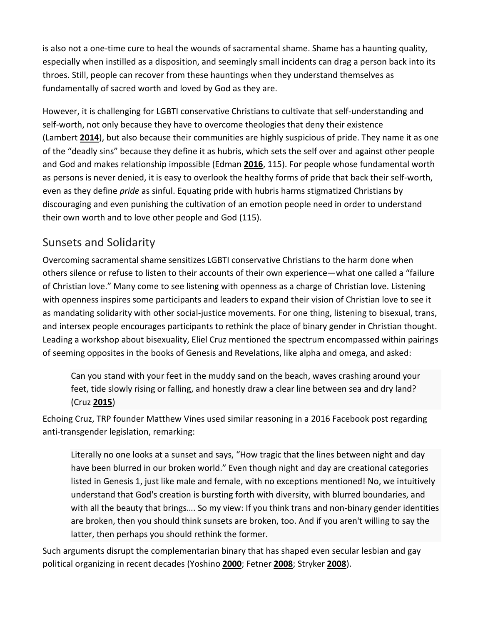is also not a one-time cure to heal the wounds of sacramental shame. Shame has a haunting quality, especially when instilled as a disposition, and seemingly small incidents can drag a person back into its throes. Still, people can recover from these hauntings when they understand themselves as fundamentally of sacred worth and loved by God as they are.

However, it is challenging for LGBTI conservative Christians to cultivate that self-understanding and self-worth, not only because they have to overcome theologies that deny their existence (Lambert **[2014](https://0-onlinelibrary-wiley-com.libus.csd.mu.edu/doi/10.1111/hypa.12413#hypa12413-bib-0039)**), but also because their communities are highly suspicious of pride. They name it as one of the "deadly sins" because they define it as hubris, which sets the self over and against other people and God and makes relationship impossible (Edman **[2016](https://0-onlinelibrary-wiley-com.libus.csd.mu.edu/doi/10.1111/hypa.12413#hypa12413-bib-0023)**, 115). For people whose fundamental worth as persons is never denied, it is easy to overlook the healthy forms of pride that back their self-worth, even as they define *pride* as sinful. Equating pride with hubris harms stigmatized Christians by discouraging and even punishing the cultivation of an emotion people need in order to understand their own worth and to love other people and God (115).

#### Sunsets and Solidarity

Overcoming sacramental shame sensitizes LGBTI conservative Christians to the harm done when others silence or refuse to listen to their accounts of their own experience—what one called a "failure of Christian love." Many come to see listening with openness as a charge of Christian love. Listening with openness inspires some participants and leaders to expand their vision of Christian love to see it as mandating solidarity with other social-justice movements. For one thing, listening to bisexual, trans, and intersex people encourages participants to rethink the place of binary gender in Christian thought. Leading a workshop about bisexuality, Eliel Cruz mentioned the spectrum encompassed within pairings of seeming opposites in the books of Genesis and Revelations, like alpha and omega, and asked:

Can you stand with your feet in the muddy sand on the beach, waves crashing around your feet, tide slowly rising or falling, and honestly draw a clear line between sea and dry land? (Cruz **[2015](https://0-onlinelibrary-wiley-com.libus.csd.mu.edu/doi/10.1111/hypa.12413#hypa12413-bib-0018)**)

Echoing Cruz, TRP founder Matthew Vines used similar reasoning in a 2016 Facebook post regarding anti-transgender legislation, remarking:

Literally no one looks at a sunset and says, "How tragic that the lines between night and day have been blurred in our broken world." Even though night and day are creational categories listed in Genesis 1, just like male and female, with no exceptions mentioned! No, we intuitively understand that God's creation is bursting forth with diversity, with blurred boundaries, and with all the beauty that brings…. So my view: If you think trans and non-binary gender identities are broken, then you should think sunsets are broken, too. And if you aren't willing to say the latter, then perhaps you should rethink the former.

Such arguments disrupt the complementarian binary that has shaped even secular lesbian and gay political organizing in recent decades (Yoshino **[2000](https://0-onlinelibrary-wiley-com.libus.csd.mu.edu/doi/10.1111/hypa.12413#hypa12413-bib-0079)**; Fetner **[2008](https://0-onlinelibrary-wiley-com.libus.csd.mu.edu/doi/10.1111/hypa.12413#hypa12413-bib-0027)**; Stryker **[2008](https://0-onlinelibrary-wiley-com.libus.csd.mu.edu/doi/10.1111/hypa.12413#hypa12413-bib-0063)**).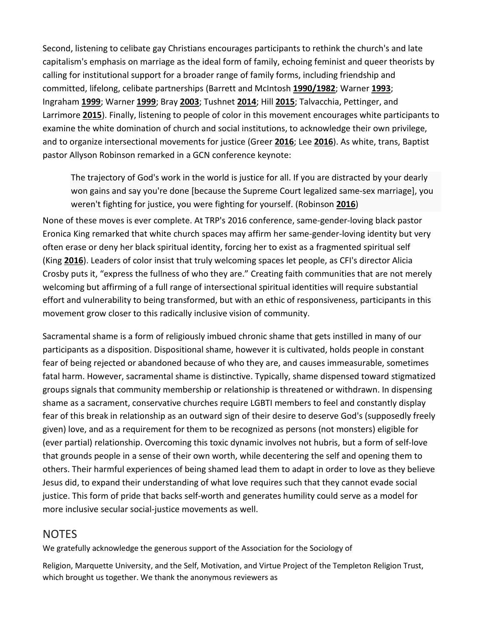Second, listening to celibate gay Christians encourages participants to rethink the church's and late capitalism's emphasis on marriage as the ideal form of family, echoing feminist and queer theorists by calling for institutional support for a broader range of family forms, including friendship and committed, lifelong, celibate partnerships (Barrett and McIntosh **[1990/1982](https://0-onlinelibrary-wiley-com.libus.csd.mu.edu/doi/10.1111/hypa.12413#hypa12413-bib-0005)**; Warner **[1993](https://0-onlinelibrary-wiley-com.libus.csd.mu.edu/doi/10.1111/hypa.12413#hypa12413-bib-0072)**; Ingraham **[1999](https://0-onlinelibrary-wiley-com.libus.csd.mu.edu/doi/10.1111/hypa.12413#hypa12413-bib-0036)**; Warner **[1999](https://0-onlinelibrary-wiley-com.libus.csd.mu.edu/doi/10.1111/hypa.12413#hypa12413-bib-0073)**; Bray **[2003](https://0-onlinelibrary-wiley-com.libus.csd.mu.edu/doi/10.1111/hypa.12413#hypa12413-bib-0009)**; Tushnet **[2014](https://0-onlinelibrary-wiley-com.libus.csd.mu.edu/doi/10.1111/hypa.12413#hypa12413-bib-0068)**; Hill **[2015](https://0-onlinelibrary-wiley-com.libus.csd.mu.edu/doi/10.1111/hypa.12413#hypa12413-bib-0034)**; Talvacchia, Pettinger, and Larrimore **[2015](https://0-onlinelibrary-wiley-com.libus.csd.mu.edu/doi/10.1111/hypa.12413#hypa12413-bib-0067)**). Finally, listening to people of color in this movement encourages white participants to examine the white domination of church and social institutions, to acknowledge their own privilege, and to organize intersectional movements for justice (Greer **[2016](https://0-onlinelibrary-wiley-com.libus.csd.mu.edu/doi/10.1111/hypa.12413#hypa12413-bib-0031)**; Lee **[2016](https://0-onlinelibrary-wiley-com.libus.csd.mu.edu/doi/10.1111/hypa.12413#hypa12413-bib-0041)**). As white, trans, Baptist pastor Allyson Robinson remarked in a GCN conference keynote:

The trajectory of God's work in the world is justice for all. If you are distracted by your dearly won gains and say you're done [because the Supreme Court legalized same-sex marriage], you weren't fighting for justice, you were fighting for yourself. (Robinson **[2016](https://0-onlinelibrary-wiley-com.libus.csd.mu.edu/doi/10.1111/hypa.12413#hypa12413-bib-0055)**)

None of these moves is ever complete. At TRP's 2016 conference, same-gender-loving black pastor Eronica King remarked that white church spaces may affirm her same-gender-loving identity but very often erase or deny her black spiritual identity, forcing her to exist as a fragmented spiritual self (King **[2016](https://0-onlinelibrary-wiley-com.libus.csd.mu.edu/doi/10.1111/hypa.12413#hypa12413-bib-0038)**). Leaders of color insist that truly welcoming spaces let people, as CFI's director Alicia Crosby puts it, "express the fullness of who they are." Creating faith communities that are not merely welcoming but affirming of a full range of intersectional spiritual identities will require substantial effort and vulnerability to being transformed, but with an ethic of responsiveness, participants in this movement grow closer to this radically inclusive vision of community.

Sacramental shame is a form of religiously imbued chronic shame that gets instilled in many of our participants as a disposition. Dispositional shame, however it is cultivated, holds people in constant fear of being rejected or abandoned because of who they are, and causes immeasurable, sometimes fatal harm. However, sacramental shame is distinctive. Typically, shame dispensed toward stigmatized groups signals that community membership or relationship is threatened or withdrawn. In dispensing shame as a sacrament, conservative churches require LGBTI members to feel and constantly display fear of this break in relationship as an outward sign of their desire to deserve God's (supposedly freely given) love, and as a requirement for them to be recognized as persons (not monsters) eligible for (ever partial) relationship. Overcoming this toxic dynamic involves not hubris, but a form of self-love that grounds people in a sense of their own worth, while decentering the self and opening them to others. Their harmful experiences of being shamed lead them to adapt in order to love as they believe Jesus did, to expand their understanding of what love requires such that they cannot evade social justice. This form of pride that backs self-worth and generates humility could serve as a model for more inclusive secular social-justice movements as well.

#### NOTES

We gratefully acknowledge the generous support of the Association for the Sociology of

Religion, Marquette University, and the Self, Motivation, and Virtue Project of the Templeton Religion Trust, which brought us together. We thank the anonymous reviewers as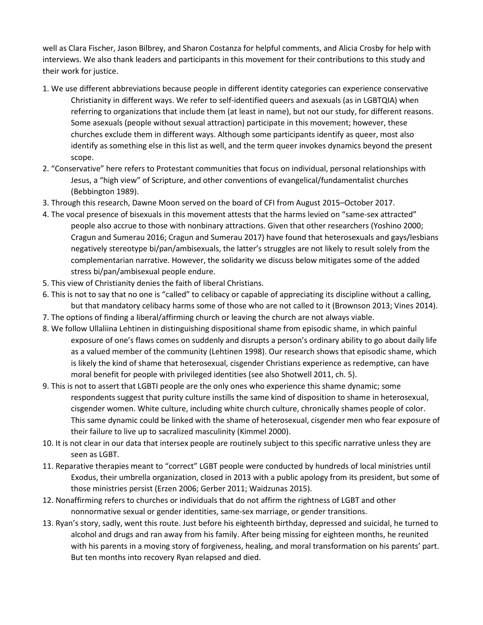well as Clara Fischer, Jason Bilbrey, and Sharon Costanza for helpful comments, and Alicia Crosby for help with interviews. We also thank leaders and participants in this movement for their contributions to this study and their work for justice.

- 1. We use different abbreviations because people in different identity categories can experience conservative Christianity in different ways. We refer to self-identified queers and asexuals (as in LGBTQIA) when referring to organizations that include them (at least in name), but not our study, for different reasons. Some asexuals (people without sexual attraction) participate in this movement; however, these churches exclude them in different ways. Although some participants identify as queer, most also identify as something else in this list as well, and the term queer invokes dynamics beyond the present scope.
- 2. "Conservative" here refers to Protestant communities that focus on individual, personal relationships with Jesus, a "high view" of Scripture, and other conventions of evangelical/fundamentalist churches (Bebbington 1989).
- 3. Through this research, Dawne Moon served on the board of CFI from August 2015–October 2017.
- 4. The vocal presence of bisexuals in this movement attests that the harms levied on "same-sex attracted" people also accrue to those with nonbinary attractions. Given that other researchers (Yoshino 2000; Cragun and Sumerau 2016; Cragun and Sumerau 2017) have found that heterosexuals and gays/lesbians negatively stereotype bi/pan/ambisexuals, the latter's struggles are not likely to result solely from the complementarian narrative. However, the solidarity we discuss below mitigates some of the added stress bi/pan/ambisexual people endure.
- 5. This view of Christianity denies the faith of liberal Christians.
- 6. This is not to say that no one is "called" to celibacy or capable of appreciating its discipline without a calling, but that mandatory celibacy harms some of those who are not called to it (Brownson 2013; Vines 2014).
- 7. The options of finding a liberal/affirming church or leaving the church are not always viable.
- 8. We follow Ullaliina Lehtinen in distinguishing dispositional shame from episodic shame, in which painful exposure of one's flaws comes on suddenly and disrupts a person's ordinary ability to go about daily life as a valued member of the community (Lehtinen 1998). Our research shows that episodic shame, which is likely the kind of shame that heterosexual, cisgender Christians experience as redemptive, can have moral benefit for people with privileged identities (see also Shotwell 2011, ch. 5).
- 9. This is not to assert that LGBTI people are the only ones who experience this shame dynamic; some respondents suggest that purity culture instills the same kind of disposition to shame in heterosexual, cisgender women. White culture, including white church culture, chronically shames people of color. This same dynamic could be linked with the shame of heterosexual, cisgender men who fear exposure of their failure to live up to sacralized masculinity (Kimmel 2000).
- 10. It is not clear in our data that intersex people are routinely subject to this specific narrative unless they are seen as LGBT.
- 11. Reparative therapies meant to "correct" LGBT people were conducted by hundreds of local ministries until Exodus, their umbrella organization, closed in 2013 with a public apology from its president, but some of those ministries persist (Erzen 2006; Gerber 2011; Waidzunas 2015).
- 12. Nonaffirming refers to churches or individuals that do not affirm the rightness of LGBT and other nonnormative sexual or gender identities, same-sex marriage, or gender transitions.
- 13. Ryan's story, sadly, went this route. Just before his eighteenth birthday, depressed and suicidal, he turned to alcohol and drugs and ran away from his family. After being missing for eighteen months, he reunited with his parents in a moving story of forgiveness, healing, and moral transformation on his parents' part. But ten months into recovery Ryan relapsed and died.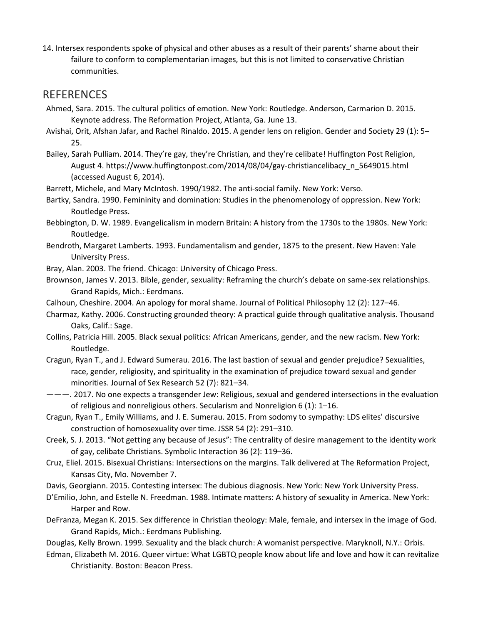14. Intersex respondents spoke of physical and other abuses as a result of their parents' shame about their failure to conform to complementarian images, but this is not limited to conservative Christian communities.

#### REFERENCES

- Ahmed, Sara. 2015. The cultural politics of emotion. New York: Routledge. Anderson, Carmarion D. 2015. Keynote address. The Reformation Project, Atlanta, Ga. June 13.
- Avishai, Orit, Afshan Jafar, and Rachel Rinaldo. 2015. A gender lens on religion. Gender and Society 29 (1): 5– 25.
- Bailey, Sarah Pulliam. 2014. They're gay, they're Christian, and they're celibate! Huffington Post Religion, August 4. https://www.huffingtonpost.com/2014/08/04/gay-christiancelibacy\_n\_5649015.html (accessed August 6, 2014).
- Barrett, Michele, and Mary McIntosh. 1990/1982. The anti-social family. New York: Verso.
- Bartky, Sandra. 1990. Femininity and domination: Studies in the phenomenology of oppression. New York: Routledge Press.
- Bebbington, D. W. 1989. Evangelicalism in modern Britain: A history from the 1730s to the 1980s. New York: Routledge.
- Bendroth, Margaret Lamberts. 1993. Fundamentalism and gender, 1875 to the present. New Haven: Yale University Press.
- Bray, Alan. 2003. The friend. Chicago: University of Chicago Press.
- Brownson, James V. 2013. Bible, gender, sexuality: Reframing the church's debate on same-sex relationships. Grand Rapids, Mich.: Eerdmans.
- Calhoun, Cheshire. 2004. An apology for moral shame. Journal of Political Philosophy 12 (2): 127–46.
- Charmaz, Kathy. 2006. Constructing grounded theory: A practical guide through qualitative analysis. Thousand Oaks, Calif.: Sage.
- Collins, Patricia Hill. 2005. Black sexual politics: African Americans, gender, and the new racism. New York: Routledge.
- Cragun, Ryan T., and J. Edward Sumerau. 2016. The last bastion of sexual and gender prejudice? Sexualities, race, gender, religiosity, and spirituality in the examination of prejudice toward sexual and gender minorities. Journal of Sex Research 52 (7): 821–34.
- ———. 2017. No one expects a transgender Jew: Religious, sexual and gendered intersections in the evaluation of religious and nonreligious others. Secularism and Nonreligion 6 (1): 1–16.
- Cragun, Ryan T., Emily Williams, and J. E. Sumerau. 2015. From sodomy to sympathy: LDS elites' discursive construction of homosexuality over time. JSSR 54 (2): 291–310.
- Creek, S. J. 2013. "Not getting any because of Jesus": The centrality of desire management to the identity work of gay, celibate Christians. Symbolic Interaction 36 (2): 119–36.
- Cruz, Eliel. 2015. Bisexual Christians: Intersections on the margins. Talk delivered at The Reformation Project, Kansas City, Mo. November 7.

Davis, Georgiann. 2015. Contesting intersex: The dubious diagnosis. New York: New York University Press.

- D'Emilio, John, and Estelle N. Freedman. 1988. Intimate matters: A history of sexuality in America. New York: Harper and Row.
- DeFranza, Megan K. 2015. Sex difference in Christian theology: Male, female, and intersex in the image of God. Grand Rapids, Mich.: Eerdmans Publishing.

Douglas, Kelly Brown. 1999. Sexuality and the black church: A womanist perspective. Maryknoll, N.Y.: Orbis.

Edman, Elizabeth M. 2016. Queer virtue: What LGBTQ people know about life and love and how it can revitalize Christianity. Boston: Beacon Press.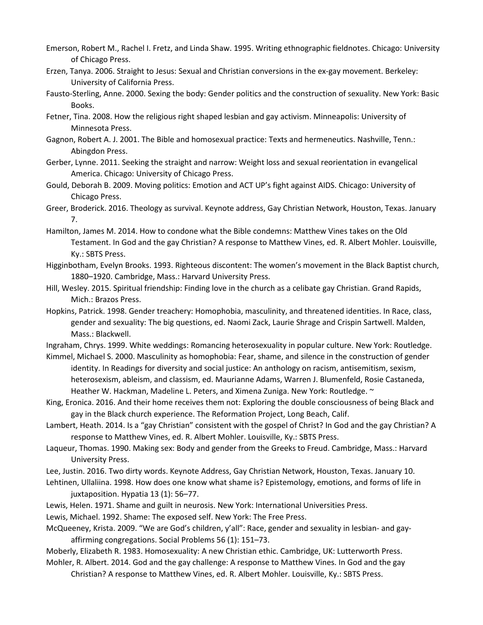- Emerson, Robert M., Rachel I. Fretz, and Linda Shaw. 1995. Writing ethnographic fieldnotes. Chicago: University of Chicago Press.
- Erzen, Tanya. 2006. Straight to Jesus: Sexual and Christian conversions in the ex-gay movement. Berkeley: University of California Press.
- Fausto-Sterling, Anne. 2000. Sexing the body: Gender politics and the construction of sexuality. New York: Basic Books.
- Fetner, Tina. 2008. How the religious right shaped lesbian and gay activism. Minneapolis: University of Minnesota Press.
- Gagnon, Robert A. J. 2001. The Bible and homosexual practice: Texts and hermeneutics. Nashville, Tenn.: Abingdon Press.
- Gerber, Lynne. 2011. Seeking the straight and narrow: Weight loss and sexual reorientation in evangelical America. Chicago: University of Chicago Press.
- Gould, Deborah B. 2009. Moving politics: Emotion and ACT UP's fight against AIDS. Chicago: University of Chicago Press.
- Greer, Broderick. 2016. Theology as survival. Keynote address, Gay Christian Network, Houston, Texas. January 7.
- Hamilton, James M. 2014. How to condone what the Bible condemns: Matthew Vines takes on the Old Testament. In God and the gay Christian? A response to Matthew Vines, ed. R. Albert Mohler. Louisville, Ky.: SBTS Press.
- Higginbotham, Evelyn Brooks. 1993. Righteous discontent: The women's movement in the Black Baptist church, 1880–1920. Cambridge, Mass.: Harvard University Press.
- Hill, Wesley. 2015. Spiritual friendship: Finding love in the church as a celibate gay Christian. Grand Rapids, Mich.: Brazos Press.
- Hopkins, Patrick. 1998. Gender treachery: Homophobia, masculinity, and threatened identities. In Race, class, gender and sexuality: The big questions, ed. Naomi Zack, Laurie Shrage and Crispin Sartwell. Malden, Mass.: Blackwell.
- Ingraham, Chrys. 1999. White weddings: Romancing heterosexuality in popular culture. New York: Routledge.
- Kimmel, Michael S. 2000. Masculinity as homophobia: Fear, shame, and silence in the construction of gender identity. In Readings for diversity and social justice: An anthology on racism, antisemitism, sexism, heterosexism, ableism, and classism, ed. Maurianne Adams, Warren J. Blumenfeld, Rosie Castaneda, Heather W. Hackman, Madeline L. Peters, and Ximena Zuniga. New York: Routledge. ~
- King, Eronica. 2016. And their home receives them not: Exploring the double consciousness of being Black and gay in the Black church experience. The Reformation Project, Long Beach, Calif.
- Lambert, Heath. 2014. Is a "gay Christian" consistent with the gospel of Christ? In God and the gay Christian? A response to Matthew Vines, ed. R. Albert Mohler. Louisville, Ky.: SBTS Press.
- Laqueur, Thomas. 1990. Making sex: Body and gender from the Greeks to Freud. Cambridge, Mass.: Harvard University Press.
- Lee, Justin. 2016. Two dirty words. Keynote Address, Gay Christian Network, Houston, Texas. January 10.
- Lehtinen, Ullaliina. 1998. How does one know what shame is? Epistemology, emotions, and forms of life in juxtaposition. Hypatia 13 (1): 56–77.
- Lewis, Helen. 1971. Shame and guilt in neurosis. New York: International Universities Press.
- Lewis, Michael. 1992. Shame: The exposed self. New York: The Free Press.
- McQueeney, Krista. 2009. "We are God's children, y'all": Race, gender and sexuality in lesbian- and gayaffirming congregations. Social Problems 56 (1): 151–73.
- Moberly, Elizabeth R. 1983. Homosexuality: A new Christian ethic. Cambridge, UK: Lutterworth Press. Mohler, R. Albert. 2014. God and the gay challenge: A response to Matthew Vines. In God and the gay
	- Christian? A response to Matthew Vines, ed. R. Albert Mohler. Louisville, Ky.: SBTS Press.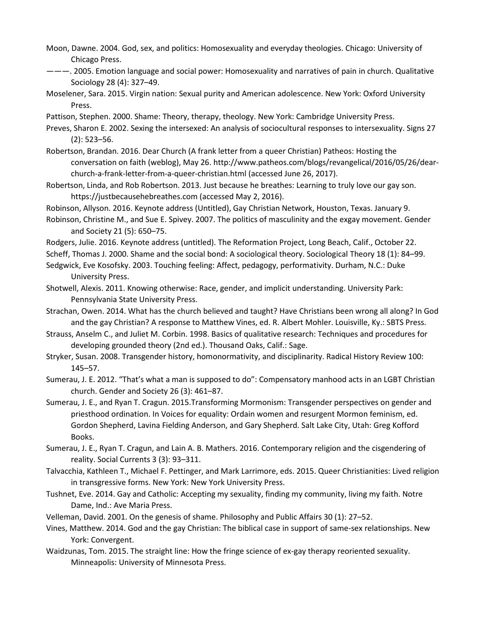- Moon, Dawne. 2004. God, sex, and politics: Homosexuality and everyday theologies. Chicago: University of Chicago Press.
- ———. 2005. Emotion language and social power: Homosexuality and narratives of pain in church. Qualitative Sociology 28 (4): 327–49.
- Moselener, Sara. 2015. Virgin nation: Sexual purity and American adolescence. New York: Oxford University Press.

Pattison, Stephen. 2000. Shame: Theory, therapy, theology. New York: Cambridge University Press.

- Preves, Sharon E. 2002. Sexing the intersexed: An analysis of sociocultural responses to intersexuality. Signs 27 (2): 523–56.
- Robertson, Brandan. 2016. Dear Church (A frank letter from a queer Christian) Patheos: Hosting the conversation on faith (weblog), May 26. http://www.patheos.com/blogs/revangelical/2016/05/26/dearchurch-a-frank-letter-from-a-queer-christian.html (accessed June 26, 2017).
- Robertson, Linda, and Rob Robertson. 2013. Just because he breathes: Learning to truly love our gay son. https://justbecausehebreathes.com (accessed May 2, 2016).
- Robinson, Allyson. 2016. Keynote address (Untitled), Gay Christian Network, Houston, Texas. January 9.
- Robinson, Christine M., and Sue E. Spivey. 2007. The politics of masculinity and the exgay movement. Gender and Society 21 (5): 650–75.
- Rodgers, Julie. 2016. Keynote address (untitled). The Reformation Project, Long Beach, Calif., October 22.
- Scheff, Thomas J. 2000. Shame and the social bond: A sociological theory. Sociological Theory 18 (1): 84–99.
- Sedgwick, Eve Kosofsky. 2003. Touching feeling: Affect, pedagogy, performativity. Durham, N.C.: Duke University Press.
- Shotwell, Alexis. 2011. Knowing otherwise: Race, gender, and implicit understanding. University Park: Pennsylvania State University Press.
- Strachan, Owen. 2014. What has the church believed and taught? Have Christians been wrong all along? In God and the gay Christian? A response to Matthew Vines, ed. R. Albert Mohler. Louisville, Ky.: SBTS Press.
- Strauss, Anselm C., and Juliet M. Corbin. 1998. Basics of qualitative research: Techniques and procedures for developing grounded theory (2nd ed.). Thousand Oaks, Calif.: Sage.
- Stryker, Susan. 2008. Transgender history, homonormativity, and disciplinarity. Radical History Review 100: 145–57.
- Sumerau, J. E. 2012. "That's what a man is supposed to do": Compensatory manhood acts in an LGBT Christian church. Gender and Society 26 (3): 461–87.
- Sumerau, J. E., and Ryan T. Cragun. 2015.Transforming Mormonism: Transgender perspectives on gender and priesthood ordination. In Voices for equality: Ordain women and resurgent Mormon feminism, ed. Gordon Shepherd, Lavina Fielding Anderson, and Gary Shepherd. Salt Lake City, Utah: Greg Kofford Books.
- Sumerau, J. E., Ryan T. Cragun, and Lain A. B. Mathers. 2016. Contemporary religion and the cisgendering of reality. Social Currents 3 (3): 93–311.
- Talvacchia, Kathleen T., Michael F. Pettinger, and Mark Larrimore, eds. 2015. Queer Christianities: Lived religion in transgressive forms. New York: New York University Press.
- Tushnet, Eve. 2014. Gay and Catholic: Accepting my sexuality, finding my community, living my faith. Notre Dame, Ind.: Ave Maria Press.
- Velleman, David. 2001. On the genesis of shame. Philosophy and Public Affairs 30 (1): 27–52.
- Vines, Matthew. 2014. God and the gay Christian: The biblical case in support of same-sex relationships. New York: Convergent.
- Waidzunas, Tom. 2015. The straight line: How the fringe science of ex-gay therapy reoriented sexuality. Minneapolis: University of Minnesota Press.